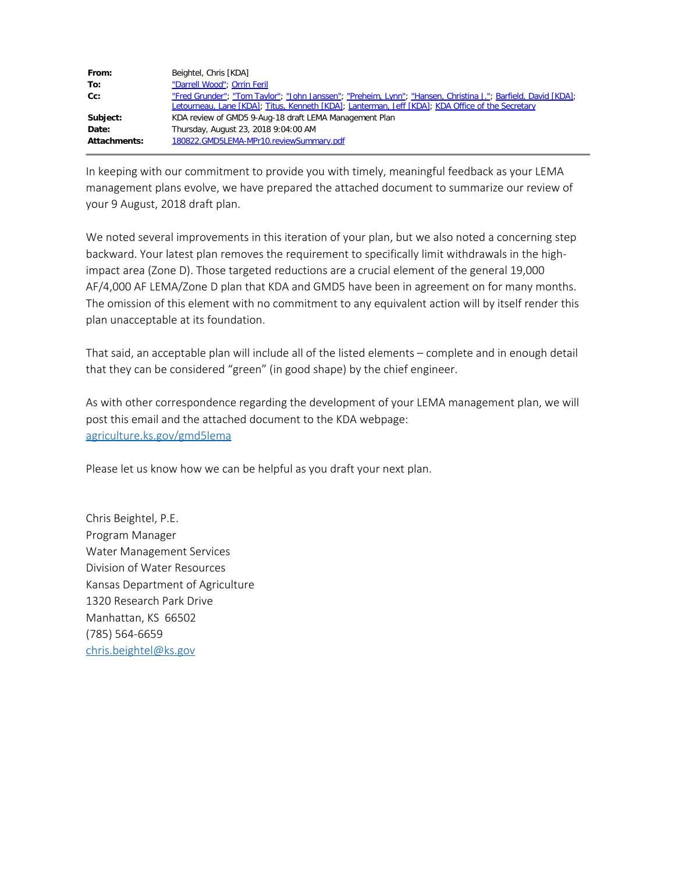| From:               | Beightel, Chris [KDA]                                                                                                                                                                                             |
|---------------------|-------------------------------------------------------------------------------------------------------------------------------------------------------------------------------------------------------------------|
| To:                 | "Darrell Wood"; Orrin Feril                                                                                                                                                                                       |
| cc:                 | "Fred Grunder"; "Tom Taylor"; "John Janssen"; "Preheim, Lynn"; "Hansen, Christina J."; Barfield, David [KDA];<br>Letourneau, Lane [KDA]; Titus, Kenneth [KDA]; Lanterman, Jeff [KDA]; KDA Office of the Secretary |
| Subject:            | KDA review of GMD5 9-Aug-18 draft LEMA Management Plan                                                                                                                                                            |
| Date:               | Thursday, August 23, 2018 9:04:00 AM                                                                                                                                                                              |
| <b>Attachments:</b> | 180822.GMD5LEMA-MPr10.reviewSummary.pdf                                                                                                                                                                           |

In keeping with our commitment to provide you with timely, meaningful feedback as your LEMA management plans evolve, we have prepared the attached document to summarize our review of your 9 August, 2018 draft plan.

We noted several improvements in this iteration of your plan, but we also noted a concerning step backward. Your latest plan removes the requirement to specifically limit withdrawals in the highimpact area (Zone D). Those targeted reductions are a crucial element of the general 19,000 AF/4,000 AF LEMA/Zone D plan that KDA and GMD5 have been in agreement on for many months. The omission of this element with no commitment to any equivalent action will by itself render this plan unacceptable at its foundation.

That said, an acceptable plan will include all of the listed elements – complete and in enough detail that they can be considered "green" (in good shape) by the chief engineer.

As with other correspondence regarding the development of your LEMA management plan, we will post this email and the attached document to the KDA webpage: [agriculture.ks.gov/gmd5lema](file:////c/www.agriculture.ks.gov/gmd5lema)

Please let us know how we can be helpful as you draft your next plan.

Chris Beightel, P.E. Program Manager Water Management Services Division of Water Resources Kansas Department of Agriculture 1320 Research Park Drive Manhattan, KS 66502 (785) 564-6659 [chris.beightel@ks.gov](mailto:chris.beightel@ks.gov)